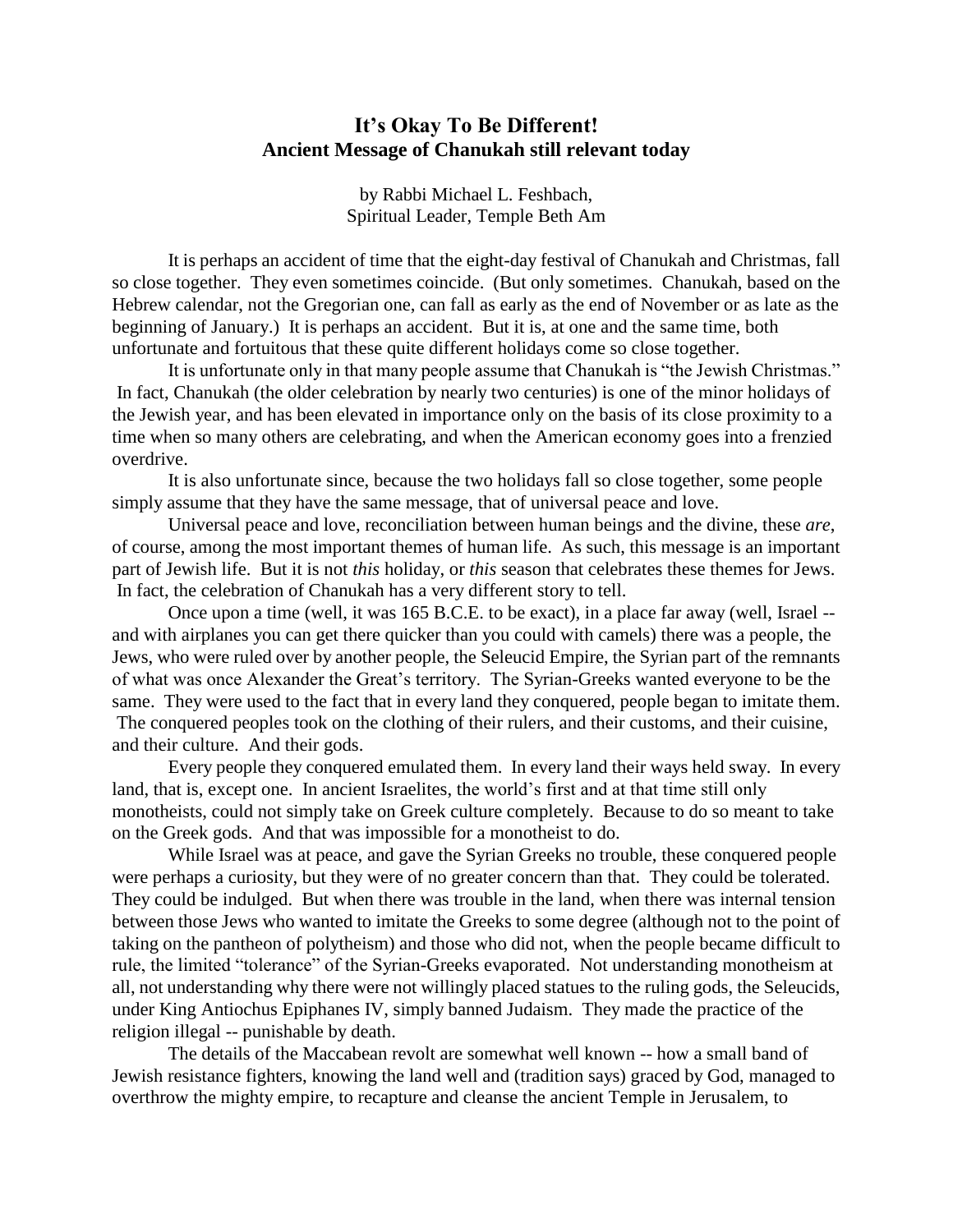## **It's Okay To Be Different! Ancient Message of Chanukah still relevant today**

by Rabbi Michael L. Feshbach, Spiritual Leader, Temple Beth Am

It is perhaps an accident of time that the eight-day festival of Chanukah and Christmas, fall so close together. They even sometimes coincide. (But only sometimes. Chanukah, based on the Hebrew calendar, not the Gregorian one, can fall as early as the end of November or as late as the beginning of January.) It is perhaps an accident. But it is, at one and the same time, both unfortunate and fortuitous that these quite different holidays come so close together.

It is unfortunate only in that many people assume that Chanukah is "the Jewish Christmas." In fact, Chanukah (the older celebration by nearly two centuries) is one of the minor holidays of the Jewish year, and has been elevated in importance only on the basis of its close proximity to a time when so many others are celebrating, and when the American economy goes into a frenzied overdrive.

It is also unfortunate since, because the two holidays fall so close together, some people simply assume that they have the same message, that of universal peace and love.

Universal peace and love, reconciliation between human beings and the divine, these *are*, of course, among the most important themes of human life. As such, this message is an important part of Jewish life. But it is not *this* holiday, or *this* season that celebrates these themes for Jews. In fact, the celebration of Chanukah has a very different story to tell.

Once upon a time (well, it was 165 B.C.E. to be exact), in a place far away (well, Israel - and with airplanes you can get there quicker than you could with camels) there was a people, the Jews, who were ruled over by another people, the Seleucid Empire, the Syrian part of the remnants of what was once Alexander the Great's territory. The Syrian-Greeks wanted everyone to be the same. They were used to the fact that in every land they conquered, people began to imitate them. The conquered peoples took on the clothing of their rulers, and their customs, and their cuisine, and their culture. And their gods.

Every people they conquered emulated them. In every land their ways held sway. In every land, that is, except one. In ancient Israelites, the world's first and at that time still only monotheists, could not simply take on Greek culture completely. Because to do so meant to take on the Greek gods. And that was impossible for a monotheist to do.

While Israel was at peace, and gave the Syrian Greeks no trouble, these conquered people were perhaps a curiosity, but they were of no greater concern than that. They could be tolerated. They could be indulged. But when there was trouble in the land, when there was internal tension between those Jews who wanted to imitate the Greeks to some degree (although not to the point of taking on the pantheon of polytheism) and those who did not, when the people became difficult to rule, the limited "tolerance" of the Syrian-Greeks evaporated. Not understanding monotheism at all, not understanding why there were not willingly placed statues to the ruling gods, the Seleucids, under King Antiochus Epiphanes IV, simply banned Judaism. They made the practice of the religion illegal -- punishable by death.

The details of the Maccabean revolt are somewhat well known -- how a small band of Jewish resistance fighters, knowing the land well and (tradition says) graced by God, managed to overthrow the mighty empire, to recapture and cleanse the ancient Temple in Jerusalem, to